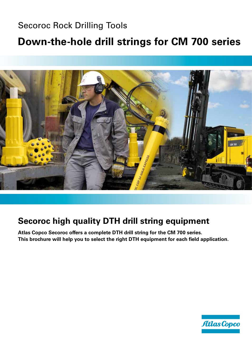# Secoroc Rock Drilling Tools

# **Down-the-hole drill strings for CM 700 series**



# **Secoroc high quality DTH drill string equipment**

**Atlas Copco Secoroc offers a complete DTH drill string for the CM 700 series. This brochure will help you to select the right DTH equipment for each field application.**

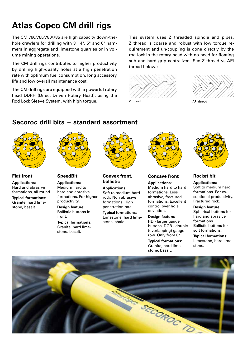# **Atlas Copco CM drill rigs**

The CM 760/765/780/785 are high capacity down-thehole crawlers for drilling with 3", 4", 5" and 6" hammers in aggregate and limestone quarries or in volume mining operations.

The CM drill rigs contributes to higher productivity by drilling high-quality holes at a high penetration rate with optimum fuel consumption, long accessory life and low overall maintenance cost.

The CM drill rigs are equipped with a powerful rotary head DDRH (Direct Driven Rotary Head), using the Rod Lock Sleeve System, with high torque.

This system uses Z threaded spindle and pipes. Z thread is coarse and robust with low torque requirement and un-coupling is done directly by the rod lock in the rotary head with no need for floating sub and hard grip centralizer. (See Z thread vs API thread below.)







## **Secoroc drill bits – standard assortment**



**Flat front Applications:** Hard and abrasive formations, all round.

**Typical formations:** Granite, hard limestone, basalt.



### **SpeedBit**

**Applications:** Medium hard to hard and abrasive formations. For higher productivity.

**Design feature:** Ballistic buttons in front.

**Typical formations:** Granite, hard limestone, basalt.



**Convex front, ballistic**

**Applications:** Soft to medium hard rock. Non abrasive formations. High penetration rate.

**Typical formations:** Limestone, hard limestone, shale.



### **Concave front**

**Applications:** Medium hard to hard formations. Less abrasive, fractured formations. Excellent control over hole deviation.

**Design feature:** HD - larger gauge buttons. DGR - double (overlapping) gauge row. Only from 8".

**Typical formations:** Granite, hard limestone, basalt.



### **Rocket bit**

**Applications:** Soft to medium hard formations. For exceptional productivity. Fractured rock.

**Design feature:** Spherical buttons for hard and abrasive formations. Ballistic buttons for

soft formations.

**Typical formations:** Limestone, hard limestone.

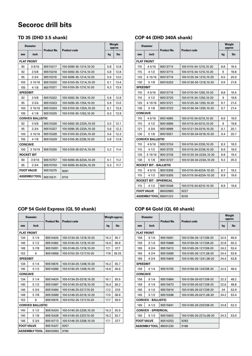## **Secoroc drill bits**

## **TD 35 (DHD 3.5 shank)**

| <b>Diameter</b> |                         | <b>Product No.</b> | <b>Product code</b>    |     | Weight<br>approx |  |
|-----------------|-------------------------|--------------------|------------------------|-----|------------------|--|
| mm              | inch                    |                    |                        | kg  | <b>lbs</b>       |  |
|                 | <b>FLAT FRONT</b>       |                    |                        |     |                  |  |
| 90              | 39/16                   | 90515317           | 100-5090-35-1214,10-20 | 5.8 | 12.8             |  |
| 92              | 3.5/8                   | 90515318           | 100-5092-35-1214,10-20 | 5.8 | 12.8             |  |
| 95              | 33/4                    | 90515319           | 100-5095-35-1214.10-20 | 5.9 | 13.0             |  |
| 100             | 3 15/16                 | 90515320           | 100-5100-35-121A,10-20 | 6.1 | 13.4             |  |
| 105             | 41/8                    | 90515321           | 100-5105-35-1210,10-20 | 6.3 | 13.9             |  |
| <b>SPEEDBIT</b> |                         |                    |                        |     |                  |  |
| 92              | 35/8                    | 90515322           | 100-5092-35-1254.10-20 | 5.8 | 12.8             |  |
| 95              | 33/4                    | 90515323           | 100-5095-35-1254,10-20 | 5.9 | 13.0             |  |
| 100             | 3 15/16                 | 90515324           | 100-5100-35-125A,10-20 | 6.1 | 13.4             |  |
| 105             | 4 1/8                   | 90515325           | 100-5105-35-1250,10-20 | 6.3 | 13.9             |  |
|                 | <b>CONVEX BALLISTIC</b> |                    |                        |     |                  |  |
| 92              | 35/8                    | 90515326           | 100-5092-35-223A.10-20 | 5.5 | 12.1             |  |
| 95              | 33/4                    | 90515327           | 100-5095-35-223A,10-20 | 5.6 | 12.3             |  |
| 100             | 3 15/16                 | 90515328           | 100-5100-35-223A,10-20 | 5.6 | 12.3             |  |
| 105             | 4 1/8                   | 90515329           | 100-5105-35-2239,10-20 | 5.8 | 12.8             |  |
| <b>CONCAVE</b>  |                         |                    |                        |     |                  |  |
| 100             | 3 15/16                 | 90515330           | 100-5100-35-021A,10-20 | 5.2 | 11.4             |  |
|                 | <b>ROCKET BIT</b>       |                    |                        |     |                  |  |
| 90              | 39/16                   | 90515757           | 100-5090-35-623A,10-20 | 5.1 | 11.2             |  |
| 95              | 33/4                    | 90515700           | 100-5095-35-623A.10-20 | 5.3 | 11.7             |  |
|                 | <b>FOOT VALVE</b>       | 90515375           | 9091                   |     |                  |  |
|                 | <b>ASSEMBLY TOOL</b>    | 90515511           | 9110                   |     |                  |  |

## **COP 54 Gold Express (QL 50 shank)**

| <b>Diameter</b>         |                      |                    |                        | <b>Weight approx</b> |            |
|-------------------------|----------------------|--------------------|------------------------|----------------------|------------|
| mm                      | Inch                 | <b>Product No.</b> | <b>Product code</b>    |                      | <b>lbs</b> |
|                         | <b>FLAT FRONT</b>    |                    |                        |                      |            |
| 134                     | 51/4                 | 90514420           | 100-5134-25-1218.10-20 | 16.2                 | 35.7       |
| 140                     | 51/2                 | 90514382           | 100-5140-25-1218.10-20 | 16.6                 | 36.6       |
| 149                     | 5 7/8                | 90515091           | 100-5149-25-1218,10-20 | 17.1                 | 37.7       |
| 152                     | 6                    | 90514958           | 100-5152-25-1217,10-20 | 17.8                 | 39.25      |
| <b>SPEEDBIT</b>         |                      |                    |                        |                      |            |
| 134                     | 51/4                 | 90514674           | 100-5134-25-1248.10-20 | 16.2                 | 35.7       |
| 140                     | 51/2                 | 90514386           | 100-5140-25-1248.10-20 | 16.6                 | 36.6       |
| <b>CONCAVE</b>          |                      |                    |                        |                      |            |
| 134                     | 51/4                 | 90514424           | 100-5134-25-0218,10-20 | 16.1                 | 35.5       |
| 140                     | 51/2                 | 90514387           | 100-5140-25-0218.10-20 | 16.4                 | 36.2       |
| 146                     | 53/4                 | 90514484           | 100-5146-25-0217,10-20 | 17.2                 | 37.9       |
| 149                     | 5 7/8                | 90515089           | 100-5149-25-0218,10-20 | 17.5                 | 38.6       |
| 152                     | 6                    | 90514974           | 100-5152-25-1217.10-20 | 17.7                 | 39.0       |
| <b>CONVEX BALLISTIC</b> |                      |                    |                        |                      |            |
| 140                     | 51/2                 | 90515424           | 100-5140-25-2339,10-20 | 16.3                 | 35.9       |
| 140                     | 51/8                 | 90515428           | 100-5140-25-2237,10-20 | 16.2                 | 35.7       |
| 146                     | 53/4                 | 90514713           | 100-5146-25-2338,10-20 | 17.1                 | 37.7       |
| <b>FOOT VALVE</b>       |                      | 90515427           | 9257                   |                      |            |
|                         | <b>ASSEMBLY TOOL</b> | 89000993           | 9190                   |                      |            |

### **COP 44 (DHD 340A shank)**

| <b>Diameter</b>               |                               | <b>Product No.</b>                 | <b>Product code</b>    | Weight<br>approx |            |
|-------------------------------|-------------------------------|------------------------------------|------------------------|------------------|------------|
| mm                            | inch                          |                                    |                        | kg               | <b>lbs</b> |
|                               | <b>FLAT FRONT</b>             |                                    |                        |                  |            |
| 110                           | 45/16                         | 90513714                           | 100-5110-34-1210.10-20 | 8.8              | 19.4       |
| 115                           | 41/2                          | 90513715                           | 100-5115-34-1210,10-20 | 9                | 19.8       |
| 125                           | 4 15/16                       | 90513716                           | 100-5125-34-1210,10-20 | 9.5              | 20.9       |
| 130                           | 51/8                          | 90515203                           | 100-5130-34-1218,10-20 | 9.9              | 21.8       |
| <b>SPEEDBIT</b>               |                               |                                    |                        |                  |            |
| 110                           | 4 5/16                        | 90513719                           | 100-5110-34-1250,10-20 | 8.8              | 19.4       |
| 115                           | 41/2                          | 90513720                           | 100-5115-34-1250,10-20 | 9                | 19.8       |
| 125                           | 4 15/16                       | 90513721                           | 100-5125-34-1250.10-20 | 9.7              | 21.4       |
| 130                           | 51/8                          | 100-5130-34-1250,10-20<br>90513722 |                        | 9.7              | 21.4       |
| <b>CONCAVE</b>                |                               |                                    |                        |                  |            |
| 110                           | 45/16                         | 90514995                           | 100-5110-34-0210,10-20 | 8.6              | 19.0       |
| 115                           | 4 1/2                         | 90514996                           | 100-5115-34-0210,10-20 | 9                | 19.8       |
| 121                           | 4 3/4                         | 90514999                           | 100-5121-34-0210,10-20 | 9.1              | 20.1       |
| 130                           | 51/8                          | 90515551                           | 100-5130-34-0218,10-20 | 9.4              | 20.7       |
|                               | <b>CONVEX BALLISTIC</b>       |                                    |                        |                  |            |
| 110                           | 45/16                         | 90513724                           | 100-5110-34-2230,10-20 | 8.3              | 18.3       |
| 115                           | 41/2                          | 90513725                           | 100-5115-34-2239,10-20 | 8.6              | 19.0       |
| 125                           | 4 15/16                       | 90513726                           | 100-5125-34-223A.10-20 | 8.8              | 19.4       |
| 130                           | 5 1/8                         | 90513727                           | 100-5130-34-223A,10-20 | 9.2              | 20.3       |
| <b>ROCKET BIT - BALLISTIC</b> |                               |                                    |                        |                  |            |
| 110                           | 45/16                         | 90515306                           | 100-5110-34-623A-10-20 | 8.7              | 19.2       |
| 115                           | 41/2                          | 90515305<br>100-5115-34-623A-10-20 |                        | 8.9              | 19.6       |
|                               | <b>ROCKET BIT - SPHERICAL</b> |                                    |                        |                  |            |
| 115                           | 4 1/2                         | 90515548                           | 100-5115-34-6210-10-20 | 8.9              | 19.6       |
|                               | <b>FOOT VALVE</b>             | 86002883                           | 9227                   |                  |            |
| <b>ASSEMBLY TOOL</b>          |                               | 89001223                           | 9226                   |                  |            |

## **COP 64 Gold (QL 60 shank)**

| <b>Diameter</b> |                           | <b>Product No.</b> | <b>Product code</b>    | Weight<br>approx |            |  |
|-----------------|---------------------------|--------------------|------------------------|------------------|------------|--|
| mm              | Inch                      |                    |                        | kq               | <b>lbs</b> |  |
|                 | <b>FLAT FRONT</b>         |                    |                        |                  |            |  |
| 156             | 61/4                      | 90515691           | 100-5156-26-1217,08-20 | 22.5             | 49.6       |  |
| 159             | 61/4                      | 90515688           | 100-5159-26-1217.08-20 | 22.8             | 50.3       |  |
| 165             | 62/4                      | 90515613           | 100-5165-26-1217,08-20 | 24.2             | 53.4       |  |
| 165             | 62/4                      | 90515589           | 100-5165-26-1211.08-20 | 24.4             | 53.8       |  |
| 165             | 62/4                      | 90515609           | 100-5165-26-1241,08-20 | 24.4             | 53.8       |  |
| <b>SPEEDBIT</b> |                           |                    |                        |                  |            |  |
| 156             | 61/4                      | 90515705           | 100-5156-26-1247,08-20 | 22.5             | 49.6       |  |
| <b>CONCAVE</b>  |                           |                    |                        |                  |            |  |
| 156             | 61/4                      | 90515684           | 100-5156-26-0217,08-20 | 22.3             | 49.2       |  |
| 159             | 61/4                      | 90515673           | 100-5159-26-0217.08-20 | 22.6             | 49.8       |  |
| 165             | 61/2                      | 90515616           | 100-5165-26-0217,08-20 | 24               | 52.9       |  |
| 165             | 61/2                      | 90515598           | 100-5165-26-0211,08-20 | 24.2             | 53.4       |  |
|                 | <b>CONVEX - BALLISTIC</b> |                    |                        |                  |            |  |
| 165             | 61/2                      | 90515641           | 100-5165-26-2337.08-20 | 23.8             | 52.3       |  |
|                 | <b>CONVEX - SPHERICAL</b> |                    |                        |                  |            |  |
| 165             | 61/2                      | 90515652           | 100-5165-26-221b,08-20 | 24.3             | 53.6       |  |
|                 | <b>FOOT VALVE</b>         | 90514253           | 9283                   |                  |            |  |
|                 | <b>ASSEMBLY TOOL</b>      | 89001230           | 9188                   |                  |            |  |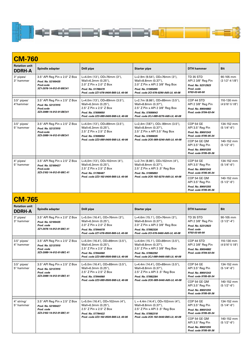

### **CM-760 Rotation unit DDRH-A Spindle adapter Drill pipe Starter pipe DTH hammer Bit** 3" pipes/ 3" hammer 3.5" API Reg Pin x 2.0" Z Box *Prod. No. 52100435 Prod.code 3Z1-2076-14-012-01-B87,41* L=4.0m (13'), OD=76mm (3"), Wall=6.3mm (0.25"), 2.0" Z Pin x 2.0" Z Box *Prod. No. 51788479 Prod. code 2Z1-076-0400-B65-L0, 40-06* L=2.9m (9.54'), OD=76mm (3"), Wall=8.8mm (0.37"), 2.0" Z Pin x API 2 3/8" Reg Box *Prod. No. 51985885 Prod. code 2Cl-076-0290-A65-L0, 40-08* TD 35 STD API 2 3/8" Reg Pin *Prod. No. 52312923 Prod. code 9703-03-60-00* 90-105 mm (3 1/2"-4 1/8") 3.5" pipes/ 4"hammer 3.5" API Reg Pin x 2.5" Z Box *Prod. No. 52137015 Prod.code 3Z3-2089-14-012-01-B87,41*  $L=4.0$ m (13'), OD=89mm (3.5"), Wall=6.3mm (0.25"), 2.5" Z Pin x 2.5" Z Box *Prod. No. 57699050 Prod. code 2Z3-089-0400-B65-L0, 40-06*  $\overline{L=2.7m(8.86)}$ , OD=89mm $(3.5^{\circ})$ , Wall=8.8mm (0.37"), 2.5" Z Pin x API 2 3/8" Reg Box *Prod. No. 57699043 Prod. code 2CJ-089-0270-A65-L0, 40-08* COP 44 STD API 2 3/8" Reg Pin *Prod. No. 89004882 Prod. code 9704-03-04* 110-130 mm (4 5/16"-5 1/8") 3.5" pipes/ 5" hammer 3.5" API Reg Pin x 2.5" Z Box *Prod. No. 52137015 Prod.code 3Z3-2089-14-012-01-B87,41* L=4.0m (13'), OD=89mm (3.5"), Wall=6.3mm (0.25"), 2.5" Z Pin x 2.5" Z Box *Prod. No. 57699050 Prod. code 2Z3-089-0400-B65-L0, 40-06*  $L=2.4$ m (7.87'), OD= 89mm (3.5"), Wall=8.8mm (0.37"), 2.5" Z Pin x API 3.5" Reg Box *Prod. No. 57699035 Prod. code 2CK-089-0240-A65-L0, 40-08* COP 54 GE API 3.5" Reg Pin *Prod. No. 89001243 Prod. code 9705-05-34* 134-152 mm (5 1/4"-6") COP 54 GE QM API 3.5" Reg Pin *Prod. No. 89001255 Prod. code 9705-05-36* 140-152 mm (5 1/2"-6") 4" pipes/ 5" hammer 3.5" API Reg Pin x 2.5" Z Box *Prod. No. 52100427 Prod.code 3Z3-2102-14-012-01-B87, 41* L=4,0m (13'), OD=102mm (4"), Wall=6.3mm (0.25"), 2.5" Z Pin x 2.5" Z Box *Prod. No. 51788487 Prod. code 2Z3-102-0400-B65-L0, 40-06* L=2.7m (8.86'), OD=102mm (4"), Wall=8.8mm (0.37"), 2.5" Z Pin x API 3 .5" Reg Box *Prod. No. 51985893 Prod. code 2CK-102-0270-A65-L0, 40-08* COP 54 GE API 3.5" Reg Pin *Prod. No. 89001243 Prod. code 9705-05-34* 134-152 mm (5 1/4"-6") COP 54 GE QM API 3.5" Reg Pin *Prod. No. 89001255 Prod. code 9705-05-36* 140-152 mm (5 1/2"-6")

## **CM-765**

| <b>Rotation unit</b><br><b>DDRH-A</b> | Spindle adapter                                                                                 | <b>Drill pipe</b>                                                                                                                                | <b>Starter pipe</b>                                                                                                                                         | <b>DTH</b> hammer                                                                                                                                                      | <b>Bit</b>                                                   |
|---------------------------------------|-------------------------------------------------------------------------------------------------|--------------------------------------------------------------------------------------------------------------------------------------------------|-------------------------------------------------------------------------------------------------------------------------------------------------------------|------------------------------------------------------------------------------------------------------------------------------------------------------------------------|--------------------------------------------------------------|
| 3" pipes/<br>3" hammer                | 3.5" API Reg Pin x 2.0" Z Box<br>Prod. No. 52100435<br>Prod. code<br>3Z1-2076-14-012-01-B87.41  | L=5.0m (16.4'), OD=76mm (3"),<br>Wall=6.3mm (0.25"),<br>2.0" Z Pin x 2.0" Z Box<br>Prod. No. 57844078<br>Prod. code 2Z1-076-0500-B65-L0. 40-06   | L=4.6m (15.1'), OD=76mm (3"),<br>Wall=8.8mm (0.37"),<br>2.0" Z Pin x API 2 3/8" Reg Box<br>Prod. No. 57882326<br>Prod. code 2Cl-076-0460-A65-L0. 40-08      | <b>TD 35 STD</b><br>API 2 3/8" Reg Pin<br>Prod. No. 52312923<br>Prod. code<br>9703-03-60-00                                                                            | 90-105 mm<br>$(3 1/2" - 4")$                                 |
| $3.5"$ pipes/<br>4" hammer            | 3.5" API Reg Pin x 2.5" Z Box<br>Prod. No. 52137015<br>Prod. code<br>3Z3-2089-14-012-01-B87.41  | L=5.0m (16.4'), OD=89mm (3.5"),<br>Wall=6.3mm (0.25"),<br>2.5" Z Pin x 2.5" Z Box<br>Prod. No. 57844060<br>Prod. code 2Z3-089-0500-B65-L0. 40-06 | L=4.6m (15.1'), OD=89mm (3.5"),<br>Wall=8.8mm (0.37"),<br>2.5" Z Pin x API 2 3/8" Reg Box<br>Prod. No. 57882292<br>Prod. code 2CJ-089-0460-A65-L0. 40-08    | COP 44 STD<br>API 2 3/8" Reg Pin<br>Prod. No. 89004882<br>Prod. code 9704-03-04                                                                                        | 110-130 mm<br>$(45/16" - 51/8")$                             |
| $3.5"$ pipes/<br>5" hammer            | 3.5" API Reg Pin x 2.5" Z Box<br>Prod. No. 52137015<br>Prod. code<br>3Z3-2089-14-012-01-B87, 41 | L=5.0m (16.4'), OD=89mm (3.5"),<br>Wall=6.3mm (0.25"),<br>2.5" Z Pin x 2.5" Z Box<br>Prod. No. 57844060<br>Prod. code 2Z3-089-0500-B65-L0, 40-06 | L=4.4m (14.4'), OD=89mm (3.5"),<br>Wall=8.8mm (0.37"),<br>2.5" Z Pin x API 3.5" Reg Box<br>Prod. No. 57882284<br>Prod. code 2CK-089-0440-A65-L0, 40-08      | <b>COP 54 GE</b><br>API 3.5" Reg Pin<br>Prod. No. 89001243<br>Prod. code 9705-05-34<br>COP 54 GE QM<br>API 3.5" Reg Pin<br>Prod. No. 89001255<br>Prod. code 9705-05-36 | 134-152 mm<br>$(51/4" - 6")$<br>140-152 mm<br>$(51/2" - 6")$ |
| 4" string/<br>5" hammer               | 3.5" API Reg Pin x 2.5" Z Box<br>Prod. No. 52100427<br>Prod. code<br>3Z3-2102-14-012-01-B87, 41 | L=5.0m (16.4'), OD=102mm (4"),<br>Wall=6.3mm (0.25"),<br>2.5" Z Pin x 2.5" Z Box<br>Prod. No. 57794422<br>Prod. code 2Z3-102-0500-B65-L0. 40-06  | $L = 4.4$ m (14.4'), OD=102mm (4"),<br>Wall=8.8mm (0.37"),<br>2.5" Z Pin x API 3 .5" Reg Box<br>Prod. No. 57882318<br>Prod. code 2CK-102-0440-B65-L0, 40-08 | <b>COP 54 GE</b><br>API 3.5" Reg Pin<br>Prod. No. 89001243<br>Prod. code 9705-05-34<br>COP 54 GE OM<br>API 3.5" Reg Pin<br>Prod. No. 89001255<br>Prod. code 9705-05-36 | 134-152 mm<br>$(51/4" - 6")$<br>140-152 mm<br>$(51/2" - 6")$ |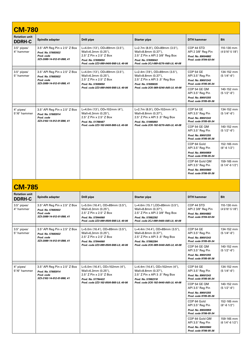| <b>CM-780</b>                         |                                                                                                 |                                                                                                                                                  |                                                                                                                                                          |                                                                                     |                                  |
|---------------------------------------|-------------------------------------------------------------------------------------------------|--------------------------------------------------------------------------------------------------------------------------------------------------|----------------------------------------------------------------------------------------------------------------------------------------------------------|-------------------------------------------------------------------------------------|----------------------------------|
| <b>Rotation unit</b><br><b>DDRH-C</b> | Spindle adapter                                                                                 | <b>Drill pipe</b>                                                                                                                                | <b>Starter pipe</b>                                                                                                                                      | <b>DTH</b> hammer                                                                   | <b>Bit</b>                       |
| $3.5"$ pipes/<br>4" hammer            | 3.5" API Reg Pin x 2.5" Z Box<br>Prod. No. 57683922<br>Prod. code<br>3Z3-2089-14-012-01-B88, 41 | L=4.0m (13'), OD=89mm (3.5"),<br>Wall=6.3mm (0.25"),<br>2.5" Z Pin x 2.5" Z Box<br>Prod. No. 57699050<br>Prod. code 2Z3-089-0400-B65-L0, 40-06   | L=2.7m (8.9'), OD=89mm (3.5"),<br>Wall=8.8mm (0.37"),<br>2.5" Z Pin x API 2 3/8" Reg Box<br>Prod. No. 57699043<br>Prod. code 2CJ-089-0270-A65-L0, 40-08  | COP 44 STD<br>API 2 3/8" Reg Pin<br>Prod. No. 89004882<br>Prod. code 9704-03-04     | 110-130 mm<br>$(45/16" - 51/8")$ |
| $3.5"$ pipes/<br>5" hammer            | 3.5" API Reg Pin x 2.5" Z Box<br>Prod. No. 57683922<br>Prod. code<br>3Z3-2089-14-012-01-B88, 41 | L=4.0m (13'), OD=89mm (3.5"),<br>Wall=6.3mm (0.25"),<br>2.5" Z Pin x 2.5" Z Box<br>Prod. No. 57699050<br>Prod. code 2Z3-089-0400-B65-L0, 40-06   | L=2.4m (7.9'), OD=89mm (3.5"),<br>Wall=8.8mm (0.37"),<br>2.5" Z Pin x API 3.5" Reg Box<br>Prod. No. 57699035<br>Prod. code 2CK-089-0240-A65-L0, 40-08    | <b>COP 54 GE</b><br>API 3.5" Reg Pin<br>Prod. No. 89001243<br>Prod. code 9705-05-34 | 134-152 mm<br>$(51/4" - 6")$     |
|                                       |                                                                                                 |                                                                                                                                                  |                                                                                                                                                          | COP 54 GE QM<br>API 3.5" Reg Pin<br>Prod. No. 89001255<br>Prod. code 9705-05-36     | 140-152 mm<br>$(51/2" - 6")$     |
| 4" pipes/<br>5"/6" hammer             | 3.5" API Reg Pin x 2.5" Z Box<br>Prod. No. 57683914<br>Prod. code<br>3Z3-2102-14-012-01-B88, 41 | L=4.0m $(13')$ , OD=102mm $(4'')$ ,<br>Wall=6.3mm (0.25"),<br>2.5" Z Pin x 2.5" Z Box<br>Prod. No. 51788487                                      | L=2.7m (8.9'), OD=102mm (4"),<br>Wall=8.8mm (0.37"),<br>2.5" Z Pin x API 3.5" Reg Box<br>Prod. No. 51985893                                              | <b>COP 54 GE</b><br>API 3.5" Reg Pin<br>Prod. No. 89001243<br>Prod. code 9705-05-34 | 134-152 mm<br>$(51/4" - 6")$     |
|                                       |                                                                                                 | Prod. code 2Z3-102-0400-B65-L0, 40-06                                                                                                            | Prod. code 2CK-102-0270-A65-L0, 40-08                                                                                                                    | COP 54 GE QM<br>API 3.5" Reg Pin<br>Prod. No. 89001255<br>Prod. code 9705-05-36     | 140-152 mm<br>$(51/2" - 6")$     |
|                                       |                                                                                                 |                                                                                                                                                  |                                                                                                                                                          | COP 64 Gold<br>API 3.5" Reg Pin<br>Prod. No. 89000959<br>Prod. code 9706-05-34      | 152-165 mm<br>$(6" - 6' 1/2")$   |
|                                       |                                                                                                 |                                                                                                                                                  |                                                                                                                                                          | COP 64 Gold QM<br>API 3.5" Reg Pin<br>Prod. No. 89000960<br>Prod. code 9706-05-36   | 159-165 mm<br>$(61/4" - 61/2")$  |
| <b>CM-785</b>                         |                                                                                                 |                                                                                                                                                  |                                                                                                                                                          |                                                                                     |                                  |
| <b>Rotation unit</b><br><b>DDRH-C</b> | <b>Spindle adapter</b>                                                                          | <b>Drill pipe</b>                                                                                                                                | <b>Starter pipe</b>                                                                                                                                      | <b>DTH</b> hammer                                                                   | <b>Bit</b>                       |
| $3.5"$ pipes/<br>4" hammer            | 3.5" API Reg Pin x 2.5" Z Box<br>Prod. No. 57683922<br>Prod. code<br>3Z3-2089-14-012-01-B88, 41 | L=5.0m (16.4'), OD=89mm (3.5"),<br>Wall=6.3mm (0.25"),<br>2.5" Z Pin x 2.5" Z Box<br>Prod. No. 57844060<br>Prod. code 2Z3-089-0500-B65-L0, 40-06 | L=4.6m (15.1'), OD=89mm (3.5"),<br>Wall=8.8mm (0.37"),<br>2.5" Z Pin x API 2 3/8" Reg Box<br>Prod. No. 57882292<br>Prod. code 2CJ-089-0460-A65-L0, 40-08 | COP 44 STD<br>API 2 3/8" Reg Pin<br>Prod. No. 89004882<br>Prod. code 9704-03-04     | 110-130 mm<br>$(45/16" - 51/8")$ |
| $3.5"$ pipes/<br>5" hammer            | 3.5" API Reg Pin x 2.5" Z Box<br>Prod. No. 57683922<br>Prod. code<br>3Z3-2089-14-012-01-B88, 41 | L=5.0m (16.4'), OD=89mm (3.5"),<br>Wall=6,3mm (0.25"),<br>2.5" Z Pin x 2.5" Z Box<br>Prod. No. 57844060                                          | L=4.4m (14.4'), OD=89mm (3.5"),<br>Wall=8.8mm (0.37"),<br>2.5" Z Pin x API 3.5" Reg Box<br>Prod. No. 57882284                                            | <b>COP 54 GE</b><br>API 3.5" Reg Pin<br>Prod. No. 89001243<br>Prod. code 9705-05-34 | 134-152 mm<br>$(51/4" - 6")$     |
|                                       |                                                                                                 | Prod. code 2Z3-089-0500-B65-L0, 40-06                                                                                                            | Prod. code 2CK-089-0440-A65-L0, 40-08                                                                                                                    | COP 54 GE QM<br>API 3.5" Reg Pin<br>Prod. No. 89001255<br>Prod. code 9705-05-36     | 140-152 mm<br>$(51/2" - 6")$     |
| 4" pipes/<br>5"/6" hammer             | 3.5" API Reg Pin x 2.5" Z Box<br>Prod. No. 57683914<br>Prod. code<br>3Z3-2102-14-012-01-B88, 41 | L=5.0m $(16.4)$ , OD=102mm $(4)$ ,<br>Wall=6.3mm (0.25"),<br>2.5" Z Pin x 2.5" Z Box<br>Prod. No. 57794422                                       | L=4.4m $(14.4)$ , OD=102mm $(4)$ ,<br>Wall=8.8mm (0.37"),<br>2.5" Z Pin x API 3.5" Reg Box<br>Prod. No. 57882318                                         | COP 54 GE<br>API 3.5" Reg Pin<br>Prod. No. 89001243<br>Prod. code 9705-05-34        | 134-152 mm<br>$(51/4" - 6")$     |
|                                       |                                                                                                 | Prod. code 2Z3-102-0500-B65-L0, 40-06                                                                                                            | Prod. code 2CK-102-0440-A65-L0, 40-08                                                                                                                    | COP 54 GE QM<br>API 3.5" Reg Pin<br>Prod. No. 89001255<br>Prod. code 9705-05-36     | 140-152 mm<br>$(51/2" - 6")$     |
|                                       |                                                                                                 |                                                                                                                                                  |                                                                                                                                                          | COP 64 Gold<br>API 3.5" Reg Pin<br>Prod. No. 89000959<br>Prod. code 9706-05-34      | 152-165 mm<br>$(6" - 6' 1/2")$   |
|                                       |                                                                                                 |                                                                                                                                                  |                                                                                                                                                          | COP 64 Gold QM<br>API 3.5" Reg Pin<br>Prod. No. 89000960<br>Prod. code 9706-05-36   | 159-165 mm<br>$(61/4" - 61/2")$  |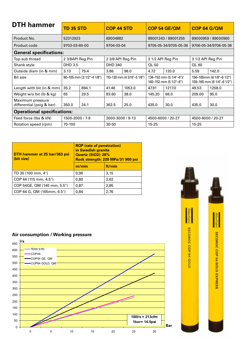| <b>DTH hammer</b>                             | <b>TD 35 STD</b> |                                   | <b>COP 44 STD</b> |                             |                   | COP 54 GE/QM                                      | <b>COP 64 G/QM</b> |                                                         |
|-----------------------------------------------|------------------|-----------------------------------|-------------------|-----------------------------|-------------------|---------------------------------------------------|--------------------|---------------------------------------------------------|
| Product No.                                   | 52312923         |                                   | 89004882          |                             |                   | 89001243 / 89001255                               |                    | 89000959 / 89000960                                     |
| Product code                                  | 9703-03-60-00    |                                   | 9704-03-04        |                             |                   | 9705-05-34/9705-05-36                             |                    | 9706-05-34/9706-05-36                                   |
| <b>General specifications:</b>                |                  |                                   |                   |                             |                   |                                                   |                    |                                                         |
| Top sub thread                                | 2 3/8API Reg Pin |                                   | 2 3/8 API Reg Pin |                             |                   | 3 1/2 API Reg Pin                                 | 3 1/2 API Reg Pin  |                                                         |
| Shank style                                   | DHD 3.5          |                                   | <b>DHD 340</b>    |                             | QL 50             |                                                   | QL 60              |                                                         |
| Outside diam (in & mm)                        | 3.13             | 79.4                              | 3.86              | 98.0                        | 4.72              | 120.0                                             | 5.59               | 142.0                                                   |
| <b>Bit size</b>                               |                  | $90-105$ mm (3 $1/2$ "-4 $1/8$ ") |                   | 110-130 mm (4 3/16"-5 1/8") |                   | 134-152 mm (5 1/4"-6")/<br>140-152 mm (5 1/2"-6") |                    | 156-165mm (6 1/8"-6 1/2")<br>159-165 mm (6 1/4"-6 1/2") |
| Length with bit (in & mm)                     | 35.2             | 894.1                             | 41.46             | 1053.0                      | 47.91             | 1217.0                                            | 49.53              | 1258.0                                                  |
| Weight w/o bit (lb & kg)                      | 65               | 29.5                              | 83.60             | 38.0                        | 145.20            | 66.0                                              | 209.00             | 95.0                                                    |
| Maximum pressure<br>differential (psig & bar) | 350.0            | 24.1                              | 362.5             | 25.0                        | 435.0             | 30.0                                              | 435.0              | 30.0                                                    |
| <b>Operational specifications:</b>            |                  |                                   |                   |                             |                   |                                                   |                    |                                                         |
| Feed force (Ibs & kN)                         | 1500-2000 / 7-9  |                                   | 2000-3000 / 9-13  |                             | 4500-6000 / 20-27 |                                                   | 4500-6000 / 20-27  |                                                         |
| Rotation speed (rpm)                          | 70-100           |                                   | $30 - 50$         |                             | $15 - 25$         |                                                   | $15 - 25$          |                                                         |

| DTH hammer at 25 bar/363 psi<br>(bit size) | <b>ROP</b> (rate of penetration)<br>in Swedish granite<br><b>Quartz (SiO2): 28%</b><br>Rock strength: 220 MPa/31 900 psi |        |  |
|--------------------------------------------|--------------------------------------------------------------------------------------------------------------------------|--------|--|
|                                            | m/min                                                                                                                    | ft/min |  |
| TD 35 (100 mm, 4")                         | 0,96                                                                                                                     | 3.15   |  |
| COP 44 (115 mm, 4.5")                      | 0,80                                                                                                                     | 2,62   |  |
| COP 54GE, QM (140 mm, 5.5")                | 0,87                                                                                                                     | 2,85   |  |
| COP 64 G, QM (165mm, 6.5")                 | 0,84                                                                                                                     | 2,76   |  |

# **Air consumption / Working pressure** Air Consumption/Working pressure



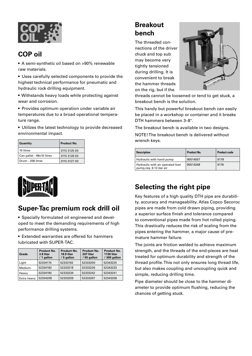

## **COP oil**

• A semi-synthetic oil based on >90% renewable raw materials.

• Uses carefully selected components to provide the highest technical performance for pneumatic and hydraulic rock drilling equipment.

• Withstands heavy loads while protecting against wear and corrosion.

• Provides optimum operation under variable air temperatures due to a broad operational temperature range.

• Utilizes the latest technology to provide decreased environmental impact.

| <b>Quantity</b>           | <b>Product No.</b> |
|---------------------------|--------------------|
| 10 litres                 | 3115 3125 00       |
| Can pallet - 48x10 litres | 3115 3126 00       |
| Drum - 208 litres         | 3115 3127 00       |



## **Super-Tac premium rock drill oil**

• Specially formulated oil engineered and developed to meet the demanding requirements of high performance drilling systems.

• Extended warranties are offered for hammers lubricated with SUPER-TAC.

| Grade       | Product No.<br>3.8 liter<br>/ 1 gallon | Product No.<br>18.9 liter<br>/ 5 gallon | <b>Product No.</b><br>207 liter<br>/55 gallon | <b>Product No.</b><br><b>1130 liter</b><br>/ 300 gallon |
|-------------|----------------------------------------|-----------------------------------------|-----------------------------------------------|---------------------------------------------------------|
| Light       | 52334174                               | 52333192                                | 52333200                                      | 52343225                                                |
| Medium      | 52334182                               | 52333218                                | 52333226                                      | 52343233                                                |
| Heavy       | 52334190                               | 52333234                                | 52333242                                      | 52343241                                                |
| Extra heavy | 52334208                               | 52333259                                | 52333267                                      | 52343258                                                |

## **Breakout bench**

The threaded connections of the driver chuck and top sub may become very tightly tensioned during drilling. It is convenient to break the hammer threads on the rig, but if the



threads cannot be loosened or tend to get stuck, a breakout bench is the solution.

This handy but powerful breakout bench can easily be placed in a workshop or container and it breaks DTH hammers between 3–8".

The breakout bench is available in two designs.

NOTE! The breakout bench is delivered without wrench keys.

| <b>Description</b>                                          | <b>Product No.</b> | <b>Product code</b> |
|-------------------------------------------------------------|--------------------|---------------------|
| Hydraulic with hand pump                                    | 90514057           | 9178                |
| Hydraulic with air operated foot<br>pump, reg. 6-12 bar air | 90514348           | 9176                |

## **Selecting the right pipe**

Key features of a high quality DTH pipe are durability, accuracy and manageability. Atlas Copco Secoroc pipes are made from cold drawn piping, providing a superior surface finish and tolerance compared to conventional pipes made from hot rolled piping. This drastically reduces the risk of scaling from the pipes entering the hammer, a major cause of premature hammer failure.

The joints are friction welded to achieve maximum strength, and the threads of the end-pieces are heat treated for optimum durability and strength of the thread profile. This not only ensures long thread life, but also makes coupling and uncoupling quick and simple, reducing drilling time.

Pipe diameter should be close to the hammer diameter to provide optimum flushing, reducing the chances of getting stuck.